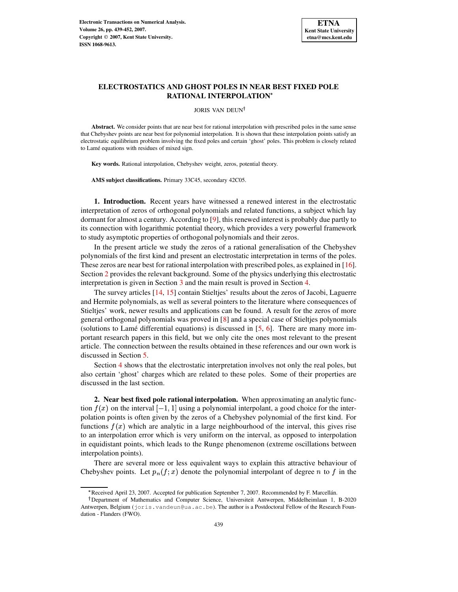

## **ELECTROSTATICS AND GHOST POLES IN NEAR BEST FIXED POLE RATIONAL INTERPOLATION**

JORIS VAN DEUN

**Abstract.** We consider points that are near best for rational interpolation with prescribed poles in the same sense that Chebyshev points are near best for polynomial interpolation. It is shown that these interpolation points satisfy an electrostatic equilibrium problem involving the fixed poles and certain 'ghost' poles. This problem is closely related to Lamé equations with residues of mixed sign.

**Key words.** Rational interpolation, Chebyshev weight, zeros, potential theory.

**AMS subject classifications.** Primary 33C45, secondary 42C05.

**1. Introduction.** Recent years have witnessed a renewed interest in the electrostatic interpretation of zeros of orthogonal polynomials and related functions, a subject which lay dormant for almost a century. According to [\[9\]](#page-12-0), this renewed interest is probably due partly to its connection with logarithmic potential theory, which provides a very powerful framework to study asymptotic properties of orthogonal polynomials and their zeros.

In the present article we study the zeros of a rational generalisation of the Chebyshev polynomials of the first kind and present an electrostatic interpretation in terms of the poles. These zeros are near best for rational interpolation with prescribed poles, as explained in [\[16\]](#page-12-1). Section [2](#page-0-0) provides the relevant background. Some of the physics underlying this electrostatic interpretation is given in Section [3](#page-2-0) and the main result is proved in Section [4.](#page-4-0)

The survey articles [\[14,](#page-12-2) [15\]](#page-12-3) contain Stieltjes' results about the zeros of Jacobi, Laguerre and Hermite polynomials, as well as several pointers to the literature where consequences of Stieltjes' work, newer results and applications can be found. A result for the zeros of more general orthogonal polynomials was proved in [\[8\]](#page-12-4) and a special case of Stieltjes polynomials (solutions to Lamé differential equations) is discussed in  $[5, 6]$  $[5, 6]$  $[5, 6]$ . There are many more important research papers in this field, but we only cite the ones most relevant to the present article. The connection between the results obtained in these references and our own work is discussed in Section [5.](#page-8-0)

Section [4](#page-4-0) shows that the electrostatic interpretation involves not only the real poles, but also certain 'ghost' charges which are related to these poles. Some of their properties are discussed in the last section.

<span id="page-0-0"></span>**2. Near best fixed pole rational interpolation.** When approximating an analytic function  $f(x)$  on the interval  $[-1, 1]$  using a polynomial interpolant, a good choice for the interpolation points is often given by the zeros of a Chebyshev polynomial of the first kind. For functions  $f(x)$  which are analytic in a large neighbourhood of the interval, this gives rise to an interpolation error which is very uniform on the interval, as opposed to interpolation in equidistant points, which leads to the Runge phenomenon (extreme oscillations between interpolation points).

There are several more or less equivalent ways to explain this attractive behaviour of Chebyshev points. Let  $p_n(f; x)$  denote the polynomial interpolant of degree n to f in the

<sup>\*</sup> Received April 23, 2007. Accepted for publication September 7, 2007. Recommended by F. Marcellán.

Department of Mathematics and Computer Science, Universiteit Antwerpen, Middelheimlaan 1, B-2020 Antwerpen, Belgium (joris.vandeun@ua.ac.be). The author is a Postdoctoral Fellow of the Research Foundation - Flanders (FWO).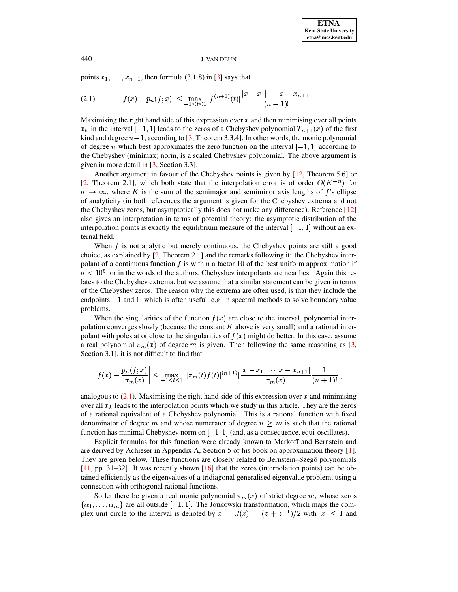points  $x_1, \ldots, x_{n+1}$ , then formula (3.1.8) in [\[3\]](#page-12-7) says that

<span id="page-1-0"></span>
$$
(2.1) \t |f(x)-p_n(f;x)| \leq \max_{-1 \leq t \leq 1} |f^{(n+1)}(t)| \frac{|x-x_1|\cdots|x-x_{n+1}|}{(n+1)!}.
$$

Maximising the right hand side of this expression over  $x$  and then minimising over all points  $x_k$  in the interval  $[-1, 1]$  leads to the zeros of a Chebyshev polynomial  $T_{n+1}(x)$  of the first kind and degree  $n+1$ , according to [\[3,](#page-12-7) Theorem 3.3.4]. In other words, the monic polynomial of degree *n* which best approximates the zero function on the interval  $[-1, 1]$  according to the Chebyshev (minimax) norm, is a scaled Chebyshev polynomial. The above argument is given in more detail in [\[3,](#page-12-7) Section 3.3].

Another argument in favour of the Chebyshev points is given by [\[12,](#page-12-8) Theorem 5.6] or [\[2,](#page-12-9) Theorem 2.1], which both state that the interpolation error is of order  $O(K^{-n})$  for  $n \to \infty$ , where K is the sum of the semimajor and semiminor axis lengths of f's ellipse of analyticity (in both references the argument is given for the Chebyshev extrema and not the Chebyshev zeros, but asymptotically this does not make any difference). Reference [\[12\]](#page-12-8) also gives an interpretation in terms of potential theory: the asymptotic distribution of the interpolation points is exactly the equilibrium measure of the interval  $[-1, 1]$  without an external field.

When  $f$  is not analytic but merely continuous, the Chebyshev points are still a good choice, as explained by [\[2,](#page-12-9) Theorem 2.1] and the remarks following it: the Chebyshev interpolant of a continuous function  $f$  is within a factor 10 of the best uniform approximation if  $n < 10<sup>5</sup>$ , or in the words of the authors, Chebyshev interpolants are near best. Again this relates to the Chebyshev extrema, but we assume that a similar statement can be given in terms of the Chebyshev zeros. The reason why the extrema are often used, is that they include the endpoints  $-1$  and 1, which is often useful, e.g. in spectral methods to solve boundary value problems.

When the singularities of the function  $f(x)$  are close to the interval, polynomial interpolation converges slowly (because the constant  $K$  above is very small) and a rational interpolant with poles at or close to the singularities of  $f(x)$  might do better. In this case, assume a real polynomial  $\pi_m(x)$  of degree m is given. Then following the same reasoning as [\[3,](#page-12-7) Section 3.1], it is not difficult to find that

$$
\left| f(x) - \frac{p_n(f;x)}{\pi_m(x)} \right| \leq \max_{-1 \leq t \leq 1} |[\pi_m(t) f(t)]^{(n+1)}| \frac{|x - x_1| \cdots |x - x_{n+1}|}{\pi_m(x)} \frac{1}{(n+1)!},
$$

analogous to  $(2.1)$ . Maximising the right hand side of this expression over x and minimising over all  $x_k$  leads to the interpolation points which we study in this article. They are the zeros of a rational equivalent of a Chebyshev polynomial. This is a rational function with fixed denominator of degree m and whose numerator of degree  $n \geq m$  is such that the rational function has minimal Chebyshev norm on  $[-1,1]$  (and, as a consequence, equi-oscillates).

Explicit formulas for this function were already known to Markoff and Bernstein and are derived by Achieser in Appendix A, Section 5 of his book on approximation theory [\[1\]](#page-12-10). They are given below. These functions are closely related to Bernstein–Szegő polynomials [\[11,](#page-12-11) pp. 31–32]. It was recently shown [\[16\]](#page-12-1) that the zeros (interpolation points) can be obtained efficiently as the eigenvalues of a tridiagonal generalised eigenvalue problem, using a connection with orthogonal rational functions.

So let there be given a real monic polynomial  $\pi_m(x)$  of strict degree m, whose zeros  $\{\alpha_1, \ldots, \alpha_m\}$  are all outside  $[-1, 1]$ . The Joukowski transformation, which maps the complex unit circle to the interval is denoted by  $x = J(z) = (z + z^{-1})/2$  with  $|z| \leq 1$  and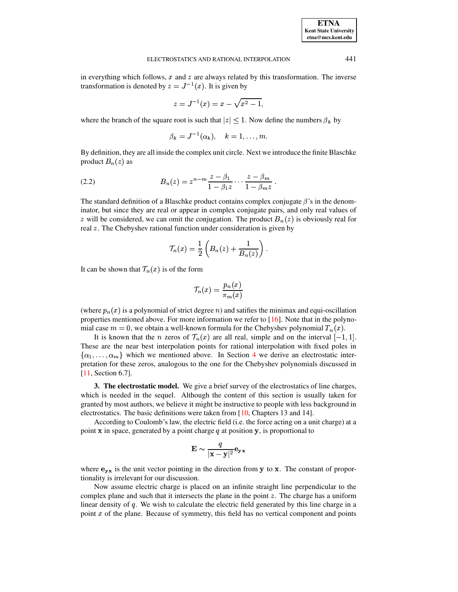in everything which follows,  $x$  and  $z$  are always related by this transformation. The inverse transformation is denoted by  $z = J^{-1}(x)$ . It is given by

$$
z = J^{-1}(x) = x - \sqrt{x^2 - 1},
$$

where the branch of the square root is such that  $|z| < 1$ . Now define the numbers  $\beta_k$  by

$$
\beta_k = J^{-1}(\alpha_k), \quad k = 1, \ldots, m.
$$

<span id="page-2-1"></span>By definition, they are all inside the complex unit circle. Next we introduce the finite Blaschke product  ${B_n(z)}$  as

(2.2) 
$$
B_n(z) = z^{n-m} \frac{z - \beta_1}{1 - \beta_1 z} \cdots \frac{z - \beta_m}{1 - \beta_m z}.
$$

The standard definition of a Blaschke product contains complex conjugate  $\beta$ 's in the denominator, but since they are real or appear in complex conjugate pairs, and only real values of z will be considered, we can omit the conjugation. The product  ${B_n}(z)$  is obviously real for real  $\zeta$ . The Chebyshev rational function under consideration is given by

$$
\mathcal{T}_n(x) = \frac{1}{2} \left( B_n(z) + \frac{1}{B_n(z)} \right).
$$

It can be shown that  $\mathcal{T}_n(x)$  is of the form

$$
\mathcal{T}_n(x)=\frac{p_n(x)}{\pi_m(x)}
$$

(where  $p_n(x)$  is a polynomial of strict degree n) and satifies the minimax and equi-oscillation properties mentioned above. For more information we refer to [\[16\]](#page-12-1). Note that in the polynomial case  $m=0$ , we obtain a well-known formula for the Chebyshev polynomial  $T_n(x)$ .

It is known that the *n* zeros of  $\mathcal{T}_n(x)$  are all real, simple and on the interval  $[-1,1]$ . These are the near best interpolation points for rational interpolation with fixed poles in  $\{\alpha_1, \ldots, \alpha_m\}$  which we mentioned above. In Section [4](#page-4-0) we derive an electrostatic interpretation for these zeros, analogous to the one for the Chebyshev polynomials discussed in [\[11,](#page-12-11) Section 6.7].

<span id="page-2-0"></span>**3. The electrostatic model.** We give a brief survey of the electrostatics of line charges, which is needed in the sequel. Although the content of this section is usually taken for granted by most authors, we believe it might be instructive to people with less background in electrostatics. The basic definitions were taken from [\[10,](#page-12-12) Chapters 13 and 14].

According to Coulomb's law, the electric field (i.e. the force acting on a unit charge) at a point  $x$  in space, generated by a point charge  $q$  at position  $y$ , is proportional to

$$
\mathbf{E} \sim \frac{q}{|\mathbf{x}-\mathbf{y}|^2}\mathbf{e}_{\mathbf{y}\mathbf{x}}
$$

where  $\mathbf{e}_{\mathbf{y}\mathbf{x}}$  is the unit vector pointing in the direction from  $\mathbf{y}$  to  $\mathbf{x}$ . The constant of proportionality is irrelevant for our discussion.

Now assume electric charge is placed on an infinite straight line perpendicular to the complex plane and such that it intersects the plane in the point  $z$ . The charge has a uniform linear density of  $q$ . We wish to calculate the electric field generated by this line charge in a point  $x$  of the plane. Because of symmetry, this field has no vertical component and points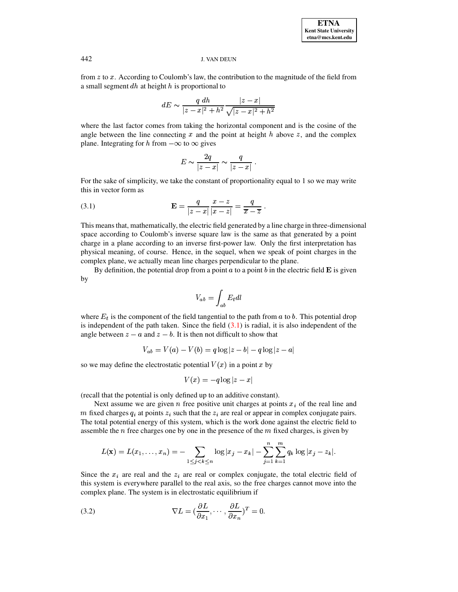from  $z$  to  $x$ . According to Coulomb's law, the contribution to the magnitude of the field from a small segment  $dh$  at height  $h$  is proportional to

$$
dE \sim \frac{q\; dh}{|z-x|^2+h^2} \frac{|z-x|}{\sqrt{|z-x|^2+h^2}}
$$

where the last factor comes from taking the horizontal component and is the cosine of the angle between the line connecting  $x$  and the point at height  $h$  above  $z$ , and the complex plane. Integrating for h from  $-\infty$  to  $\infty$  gives

$$
E\sim \frac{2q}{|z-x|}\sim \frac{q}{|z-x|}\ .
$$

<span id="page-3-0"></span>For the sake of simplicity, we take the constant of proportionality equal to 1 so we may write this in vector form as

(3.1) 
$$
\mathbf{E} = \frac{q}{|z-x|} \frac{x-z}{|x-z|} = \frac{q}{\overline{x}-\overline{z}}.
$$

This meansthat, mathematically, the electric field generated by a line charge in three-dimensional space according to Coulomb's inverse square law is the same as that generated by a point charge in a plane according to an inverse first-power law. Only the first interpretation has physical meaning, of course. Hence, in the sequel, when we speak of point charges in the complex plane, we actually mean line charges perpendicular to the plane.

By definition, the potential drop from a point  $a$  to a point  $b$  in the electric field  $\bf{E}$  is given by 1988 and 1988 and 1988 and 1988 and 1988 and 1988 and 1988 and 1988 and 1988 and 1988 and 1988 and 1988 and 1988 and 1988 and 1988 and 1988 and 1988 and 1988 and 1988 and 1988 and 1988 and 1988 and 1988 and 1988 and 198

$$
V_{ab}=\int_{ab}E_t dl
$$

where  $E_t$  is the component of the field tangential to the path from  $a$  to  $b$ . This potential drop is independent of the path taken. Since the field  $(3.1)$  is radial, it is also independent of the angle between  $z - a$  and  $z - b$ . It is then not difficult to show that<br>  $V_{ab} = V(a) - V(b) = a \log |z - b| - a \log |z|$ 

$$
V_{ab} = V(a) - V(b) = q \log |z - b| - q \log |z - a|
$$

 $V_{ab} = V(a) - V(b) = q \log |z - b| - q \log |z - a|$ <br>so we may define the electrostatic potential  $V(x)$  in a point x by

$$
V(x) = -q\log|z-x|
$$

(recall that the potential is only defined up to an additive constant).

Next assume we are given n free positive unit charges at points  $x_i$  of the real line and m fixed charges  $q_i$  at points  $z_i$  such that the  $z_i$  are real or appear in complex conjugate pairs. The total potential energy of this system, which is the work done against the electric field to assemble the  $n$  free charges one by one in the presence of the  $m$  fixed charges, is given by

<span id="page-3-1"></span>
$$
L(\mathbf{x}) = L(x_1, \dots, x_n) = - \sum_{1 \leq j < k \leq n} \log |x_j - x_k| - \sum_{j=1}^n \sum_{k=1}^m q_k \log |x_j - x_k|.
$$

Since the  $x_i$  are real and the  $z_i$  are real or complex conjugate, the total electric field of this system is everywhere parallel to the real axis, so the free charges cannot move into the complex plane. The system is in electrostatic equilibrium if

(3.2) 
$$
\nabla L = (\frac{\partial L}{\partial x_1}, \cdots, \frac{\partial L}{\partial x_n})^T = 0.
$$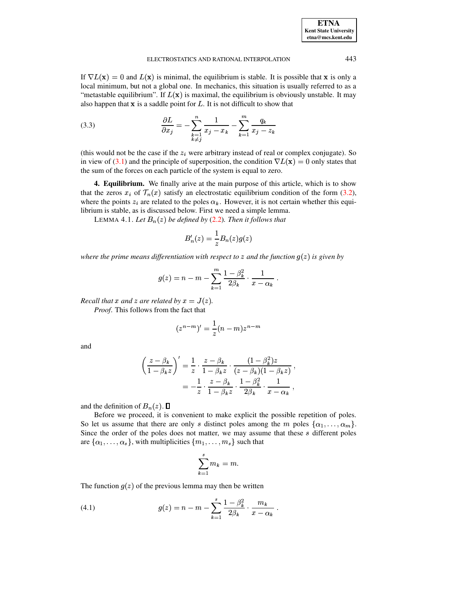<span id="page-4-3"></span>

| <b>ETNA</b>                  |
|------------------------------|
| <b>Kent State University</b> |
| etna@mcs.kent.edu            |

If  $\nabla L(\mathbf{x}) = 0$  and  $L(\mathbf{x})$  is minimal, the equilibrium is stable. It is possible that **x** is only a local minimum, but not a global one. In mechanics, this situation is usually referred to as a "metastable equilibrium". If  $L(\mathbf{x})$  is maximal, the equilibrium is obviously unstable. It may also happen that  $x$  is a saddle point for  $L$ . It is not difficult to show that

(3.3) 
$$
\frac{\partial L}{\partial x_j} = -\sum_{\substack{k=1 \ k \neq j}}^n \frac{1}{x_j - x_k} - \sum_{k=1}^m \frac{q_k}{x_j - z_k}
$$

(this would not be the case if the  $z_i$  were arbitrary instead of real or complex conjugate). So in view of [\(3.1\)](#page-3-0) and the principle of superposition, the condition  $\nabla L(\mathbf{x}) = 0$  only states that the sum of the forces on each particle of the system is equal to zero.

<span id="page-4-0"></span>**4. Equilibrium.** We finally arive at the main purpose of this article, which is to show that the zeros  $x_i$  of  $\mathcal{T}_n(x)$  satisfy an electrostatic equilibrium condition of the form [\(3.2\)](#page-3-1), where the points  $z_i$  are related to the poles  $\alpha_k$ . However, it is not certain whether this equilibrium is stable, as is discussed below. First we need a simple lemma.

LEMMA 4.1. Let  $B_n(z)$  be defined by  $(2.2)$ . Then it follows that

<span id="page-4-1"></span>
$$
B'_n(z)=\frac{1}{z}B_n(z)g(z)
$$

*where the prime means differentiation with respect to z and the function*  $g(z)$  *is given by* 

$$
g(z)=n-m-\sum_{k=1}^m\frac{1-\beta_k^2}{2\beta_k}\cdot\frac{1}{x-\alpha_k}\;.
$$

*Recall that*  $x$  *and*  $z$  *are related by*  $x = J(z)$ *.* 

*Proof*. This follows from the fact that

$$
(z^{n-m})'=\frac{1}{z}(n-m)z^{n-m}
$$

and

$$
\left(\frac{z-\beta_k}{1-\beta_k z}\right)' = \frac{1}{z} \cdot \frac{z-\beta_k}{1-\beta_k z} \cdot \frac{(1-\beta_k^2)z}{(z-\beta_k)(1-\beta_k z)},
$$

$$
= -\frac{1}{z} \cdot \frac{z-\beta_k}{1-\beta_k z} \cdot \frac{1-\beta_k^2}{2\beta_k} \cdot \frac{1}{x-\alpha_k},
$$

and the definition of  ${B_n(z)}$ .  $\Box$ 

Before we proceed, it is convenient to make explicit the possible repetition of poles. So let us assume that there are only s distinct poles among the m poles  $\{\alpha_1, \dots, \alpha_m\}$ . Since the order of the poles does not matter, we may assume that these  $s$  different poles are  $\{\alpha_1, \ldots, \alpha_s\}$ , with multiplicities  $\{m_1, \ldots, m_s\}$  such that

<span id="page-4-2"></span>
$$
\sum_{k=1}^s m_k = m.
$$

The function  $g(z)$  of the previous lemma may then be written

(4.1) 
$$
g(z) = n - m - \sum_{k=1}^{s} \frac{1 - \beta_k^2}{2\beta_k} \cdot \frac{m_k}{x - \alpha_k}.
$$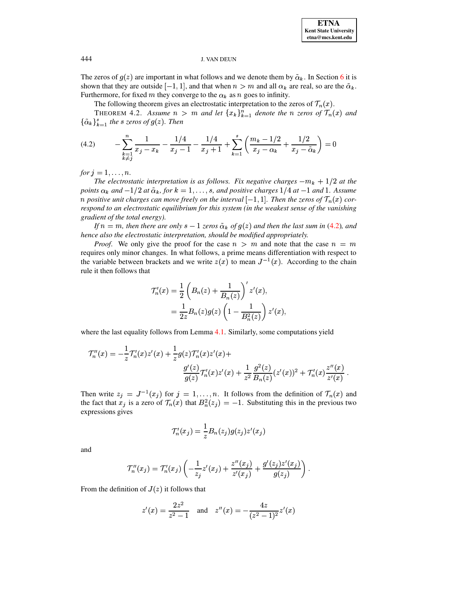The zeros of  $g(z)$  are important in what follows and we denote them by  $\tilde{\alpha}_k$ . In Section [6](#page-10-0) it is shown that they are outside  $[-1, 1]$ , and that when  $n > m$  and all  $\alpha_k$  are real, so are the  $\tilde{\alpha}_k$ . Furthermore, for fixed m they converge to the  $\alpha_k$  as n goes to infinity.

<span id="page-5-0"></span>The following theorem gives an electrostatic interpretation to the zeros of  $\mathcal{T}_n(x)$ .

THEOREM 4.2. Assume  $n > m$  and let  $\{x_k\}_{k=1}^n$  denote the n zeros of  $\mathcal{T}_n(x)$  and  $\{\tilde{\alpha}_k\}_{k=1}^s$  the *s* zeros of  $g(z)$ . Then

$$
(4.2) \qquad -\sum_{\substack{k=1\\k\neq j}}^{n} \frac{1}{x_j - x_k} - \frac{1/4}{x_j - 1} - \frac{1/4}{x_j + 1} + \sum_{k=1}^{s} \left( \frac{m_k - 1/2}{x_j - \alpha_k} + \frac{1/2}{x_j - \tilde{\alpha}_k} \right) = 0
$$

*for*  $j = 1, ..., n$ .

*The* electrostatic interpretation is as follows. Fix negative charges  $-m_k + 1/2$  at the points  $\alpha_k$  and  $-1/2$  at  $\tilde{\alpha}_k$ , for  $k = 1, \ldots, s$ , and positive charges  $1/4$  at  $-1$  and 1. Assume  $p$  *n* positive unit charges can move freely on the interval  $[-1,1]$ . Then the zeros of  $\mathcal{T}_n(x)$  cor*respond to an electrostatic equilibrium for this system (in the weakest sense of the vanishing gradient of the total energy).*

*If*  $n = m$ , then there are only  $s - 1$  zeros  $\tilde{\alpha}_k$  of  $g(z)$  and then the last sum in [\(4.2\)](#page-5-0), and *hence also the electrostatic interpretation, should be modified appropriately.*

*Proof.* We only give the proof for the case  $n > m$  and note that the case  $n = m$ requires only minor changes. In what follows, a prime means differentiation with respect to the variable between brackets and we write  $z(x)$  to mean  $J^{-1}(x)$ . According to the chain rule it then follows that

$$
\mathcal{T}'_n(x) = \frac{1}{2} \left( B_n(z) + \frac{1}{B_n(z)} \right)' z'(x),
$$
  
= 
$$
\frac{1}{2z} B_n(z) g(z) \left( 1 - \frac{1}{B_n^2(z)} \right) z'(x),
$$

where the last equality follows from Lemma [4.1.](#page-4-1) Similarly, some computations yield

$$
\mathcal{T}_n''(x) = -\frac{1}{z}\mathcal{T}_n'(x)z'(x) + \frac{1}{z}g(z)\mathcal{T}_n'(x)z'(x) + \frac{g'(z)}{g(z)}\mathcal{T}_n'(x)z'(x) + \frac{1}{z^2}\frac{g^2(z)}{B_n(z)}(z'(x))^2 + \mathcal{T}_n'(x)\frac{z''(x)}{z'(x)}.
$$

Then write  $z_i = J^{-1}(x_i)$  for  $j = 1, \ldots, n$ . It follows from the definition of  $\mathcal{T}_n(x)$  and the fact that  $x_j$  is a zero of  $\mathcal{T}_n(x)$  that  $B_n^2(z_j) = -1$ . Substituting this in the previous two expressions gives

$$
\mathcal{T}'_n(x_j) = \frac{1}{z} B_n(z_j) g(z_j) z'(x_j)
$$

and

$$
\mathcal{T}''_n(x_j) = \mathcal{T}'_n(x_j) \left( -\frac{1}{z_j} z'(x_j) + \frac{z''(x_j)}{z'(x_j)} + \frac{g'(z_j) z'(x_j)}{g(z_j)} \right).
$$

From the definition of  $J(z)$  it follows that

$$
z'(x) = \frac{2z^2}{z^2 - 1} \quad \text{and} \quad z''(x) = -\frac{4z}{(z^2 - 1)^2} z'(x)
$$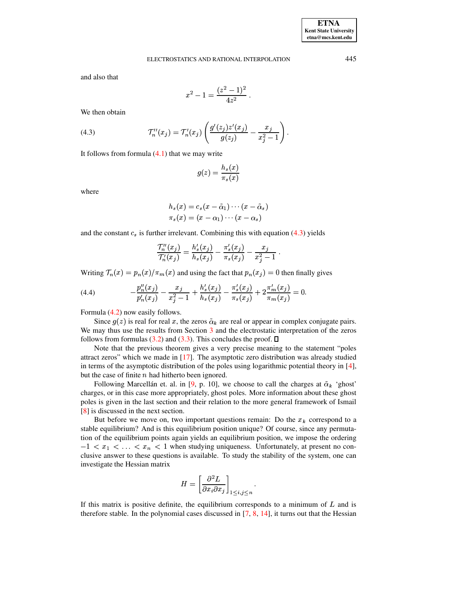and also that

$$
x^2-1=\frac{(z^2-1)^2}{4z^2}\ .
$$

<span id="page-6-0"></span>We then obtain

(4.3) 
$$
\mathcal{T}_n''(x_j) = \mathcal{T}_n'(x_j) \left( \frac{g'(z_j) z'(x_j)}{g(z_j)} - \frac{x_j}{x_j^2 - 1} \right).
$$

It follows from formula  $(4.1)$  that we may write

$$
g(z)=\frac{h_s(x)}{\pi_s(x)}
$$

where

$$
h_s(x) = c_s(x - \tilde{\alpha}_1) \cdots (x - \tilde{\alpha}_s)
$$
  

$$
\pi_s(x) = (x - \alpha_1) \cdots (x - \alpha_s)
$$

and the constant  $c_s$  is further irrelevant. Combining this with equation [\(4.3\)](#page-6-0) yields

<span id="page-6-1"></span>
$$
\frac{{\cal T}_n''(x_j)}{{\cal T}_n'(x_j)} = \frac{h_s'(x_j)}{h_s(x_j)} - \frac{\pi_s'(x_j)}{\pi_s(x_j)} - \frac{x_j}{x_j^2-1}.
$$

Writing  $\mathcal{T}_n(x) = p_n(x)/\pi_m(x)$  and using the fact that  $p_n(x_j) = 0$  then finally gives

(4.4) 
$$
-\frac{p_n''(x_j)}{p_n'(x_j)} - \frac{x_j}{x_j^2 - 1} + \frac{h_s'(x_j)}{h_s(x_j)} - \frac{\pi_s'(x_j)}{\pi_s(x_j)} + 2\frac{\pi_m'(x_j)}{\pi_m(x_j)} = 0.
$$

Formula [\(4.2\)](#page-5-0) now easily follows.

Since  $g(z)$  is real for real x, the zeros  $\tilde{\alpha}_k$  are real or appear in complex conjugate pairs. We may thus use the results from Section [3](#page-2-0) and the electrostatic interpretation of the zeros follows from formulas [\(3.2\)](#page-3-1) and [\(3.3\)](#page-4-3). This concludes the proof.  $\Box$ 

Note that the previous theorem gives a very precise meaning to the statement "poles attract zeros" which we made in [\[17\]](#page-13-0). The asymptotic zero distribution was already studied in terms of the asymptotic distribution of the poles using logarithmic potential theory in [\[4\]](#page-12-13), but the case of finite  $n$  had hitherto been ignored.

Following Marcellán et. al. in [\[9,](#page-12-0) p. 10], we choose to call the charges at  $\tilde{\alpha}_k$  'ghost' charges, or in this case more appropriately, ghost poles. More information about these ghost poles is given in the last section and their relation to the more general framework of Ismail [\[8\]](#page-12-4) is discussed in the next section.

But before we move on, two important questions remain: Do the  $x_k$  correspond to a stable equilibrium? And is this equilibrium position unique? Of course, since any permutation of the equilibrium points again yields an equilibrium position, we impose the ordering  $-1 < x_1 < \ldots < x_n < 1$  when studying uniqueness. Unfortunately, at present no conclusive answer to these questions is available. To study the stability of the system, one can investigate the Hessian matrix

$$
H=\left[\frac{\partial^2 L}{\partial x_i\partial x_j}\right]_{1\leq i,j\leq n}.
$$

If this matrix is positive definite, the equilibrium corresponds to a minimum of  $L$  and is therefore stable. In the polynomial cases discussed in  $[7, 8, 14]$  $[7, 8, 14]$  $[7, 8, 14]$  $[7, 8, 14]$  $[7, 8, 14]$ , it turns out that the Hessian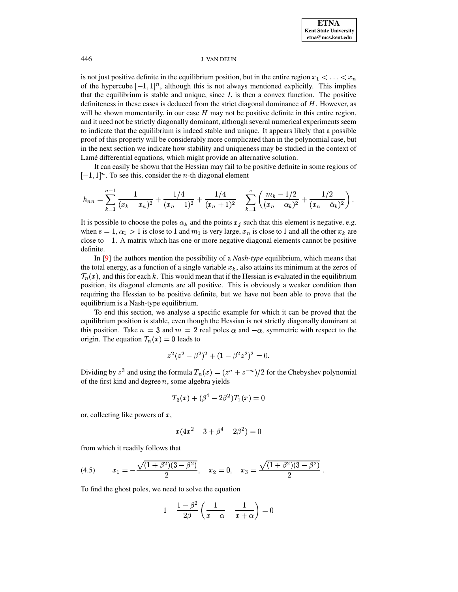is not just positive definite in the equilibrium position, but in the entire region  $x_1 \leq \ldots \leq x_n$ of the hypercube  $[-1,1]^n$ , although this is not always mentioned explicitly. This implies of the hypercube  $[-1, 1]$ , antiough this is not always included explicitly. This implies<br>that the equilibrium is stable and unique, since L is then a convex function. The positive<br>definiteness in these cases is deduced fr definiteness in these cases is deduced from the strict diagonal dominance of  $H$ . However, as<br>will be shown momentarily, in our case  $H$  may not be positive definite in this entire region, will be shown momentarily, in our case  $H$  may not be positive definite in this entire region, and it need not be strictly diagonally dominant, although several numerical experiments seem to indicate that the equilibrium is indeed stable and unique. It appears likely that a possible proof of this property will be considerably more complicated than in the polynomial case, but in the next section we indicate how stability and uniqueness may be studied in the context of Lamé differential equations, which might provide an alternative solution.

It can easily be shown that the Hessian may fail to be positive definite in some regions of  $[-1, 1]^n$ . To see this, consider the *n*-th diagonal element

$$
h_{nn} = \sum_{k=1}^{n-1} \frac{1}{(x_k - x_n)^2} + \frac{1/4}{(x_n - 1)^2} + \frac{1/4}{(x_n + 1)^2} - \sum_{k=1}^{s} \left( \frac{m_k - 1/2}{(x_n - \alpha_k)^2} + \frac{1/2}{(x_n - \tilde{\alpha}_k)^2} \right).
$$

It is possible to choose the poles  $\alpha_k$  and the points  $x_j$  such that this element is negative, e.g. when  $s = 1, \alpha_1 > 1$  is close to 1 and  $m_1$  is very large,  $x_n$  is close to 1 and all the other  $x_k$  are close to  $-1$ . A matrix which has one or more negative diagonal elements cannot be positive definite.

In [\[9\]](#page-12-0) the authors mention the possibility of a *Nash-type* equilibrium, which means that the total energy, as a function of a single variable  $x<sub>k</sub>$ , also attains its minimum at the zeros of  $\mathcal{T}_n(x)$ , and this for each k. This would mean that if the Hessian is evaluated in the equilibrium position, its diagonal elements are all positive. This is obviously a weaker condition than requiring the Hessian to be positive definite, but we have not been able to prove that the equilibrium is a Nash-type equilibrium.

To end this section, we analyse a specific example for which it can be proved that the equilibrium position is stable, even though the Hessian is not strictly diagonally dominant at this position. Take  $n = 3$  and  $m = 2$  real poles  $\alpha$  and  $-\alpha$ , symmetric with respect to the origin. The equation  $\mathcal{T}_n(x) = 0$  leads to

$$
z^2(z^2 - \beta^2)^2 + (1 - \beta^2 z^2)^2 = 0.
$$

Dividing by  $z^3$  and using the formula  $T_n(x) = (z^n + z^{-n})/2$  for the Chebyshev polynomial of the first kind and degree  $n$ , some algebra yields

$$
T_3(x) + (\beta^4 - 2 \beta^2) T_1(x) = 0
$$

or, collecting like powers of  $x$ ,

$$
x(4x^2 - 3 + \beta^4 - 2\beta^2) = 0
$$

<span id="page-7-0"></span>from which it readily follows that

(4.5) 
$$
x_1 = -\frac{\sqrt{(1+\beta^2)(3-\beta^2)}}{2}
$$
,  $x_2 = 0$ ,  $x_3 = \frac{\sqrt{(1+\beta^2)(3-\beta^2)}}{2}$ .

To find the ghost poles, we need to solve the equation

$$
1-\frac{1-\beta^2}{2\beta}\left(\frac{1}{x-\alpha}-\frac{1}{x+\alpha}\right)=0
$$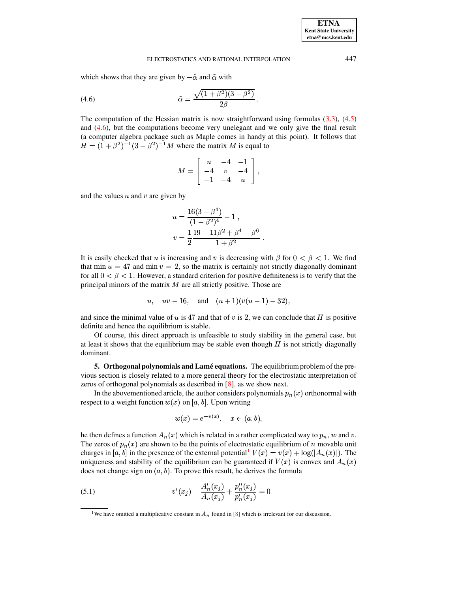which shows that they are given by  $-\tilde{\alpha}$  and  $\tilde{\alpha}$  with

(4.6) 
$$
\tilde{\alpha} = \frac{\sqrt{(1+\beta^2)(3-\beta^2)}}{2\beta} \ .
$$

The computation of the Hessian matrix is now straightforward using formulas  $(3.3)$ ,  $(4.5)$ and [\(4.6\)](#page-8-1), but the computations become very unelegant and we only give the final result (a computer algebra package such as Maple comes in handy at this point). It follows that <sup>È</sup>  $\alpha=(1+\beta^2)^{-1}(3-\beta^2)^{-1}M$  where the matrix M is equal to

<span id="page-8-1"></span>
$$
M = \left[ \begin{array}{ccc} u & -4 & -1 \\ -4 & v & -4 \\ -1 & -4 & u \end{array} \right],
$$

and the values  $u$  and  $v$  are given by

$$
u = \frac{16(3 - \beta^{4})}{(1 - \beta^{2})^{4}} - 1,
$$
  

$$
v = \frac{1}{2} \frac{19 - 11\beta^{2} + \beta^{4} - \beta^{6}}{1 + \beta^{2}}.
$$

It is easily checked that u is increasing and v is decreasing with  $\beta$  for  $0 < \beta < 1$ . We find that min  $u = 47$  and min  $v = 2$ , so the matrix is certainly not strictly diagonally dominant for all  $0 < \beta < 1$ . However, a standard criterion for positive definiteness is to verify that the for all  $0 < \beta < 1$ . However, a standard criterion for positive definiteness is to verify that the principal minors of the matrix  $M$  are all strictly positive. Those are

$$
u, uv-16,
$$
 and  $(u+1)(v(u-1)-32),$ 

and since the minimal value of u is 47 and that of v is 2, we can conclude that H is positive<br>and since the minimal value of u is 47 and that of v is 2, we can conclude that H is positive definite and hence the equilibrium is stable.

Of course, this direct approach is unfeasible to study stability in the general case, but of course, this direct approach is unfeasible to study stability in the general case, but<br>at least it shows that the equilibrium may be stable even though  $H$  is not strictly diagonally dominant.

<span id="page-8-0"></span>**5. Orthogonal polynomials and Lame´ equations.** The equilibrium problem of the previous section is closely related to a more general theory for the electrostatic interpretation of zeros of orthogonal polynomials as described in [\[8\]](#page-12-4), as we show next.

In the abovementioned article, the author considers polynomials  $p_n(x)$  orthonormal with respect to a weight function  $w(x)$  on [a, b]. Upon writing

<span id="page-8-3"></span>
$$
w(x) = e^{-v(x)}, \quad x \in (a, b),
$$

he then defines a function  $A_n(x)$  which is related in a rather complicated way to  $p_n$ , w and v. The zeros of  $p_n(x)$  are shown to be the points of electrostatic equilibrium of *n* movable unit charges in [a, b] in the presence of the external potential<sup>[1](#page-8-2)</sup>  $V(x) = v(x) + \log(|A_n(x)|)$ . The charges in [a, b] in the presence of the external potential<sup>1</sup>  $V(x) = v(x) + \log(|A_n(x)|)$ . The uniqueness and stability of the equilibrium can be guaranteed if  $V(x)$  is convex and  $A_n(x)$ uniqueness and stability of the equilibrium can be guaranteed if  $V(x)$  is convex and  $A_n(x)$ does not change sign on  $(a, b)$ . To prove this result, he derives the formula

(5.1) 
$$
-v'(x_j) - \frac{A'_n(x_j)}{A_n(x_j)} + \frac{p''_n(x_j)}{p'_n(x_j)} = 0
$$

<span id="page-8-2"></span><sup>&</sup>lt;sup>1</sup>We have omitted a multiplicative constant in  $A_n$  found in [\[8\]](#page-12-4) which is irrelevant for our discussion.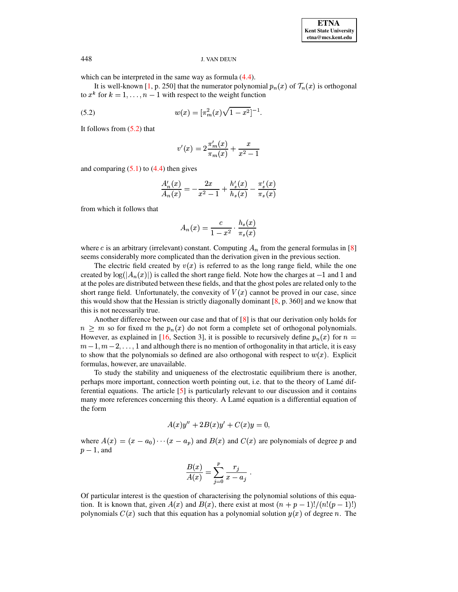which can be interpreted in the same way as formula  $(4.4)$ .

It is well-known [\[1,](#page-12-10) p. 250] that the numerator polynomial  $p_n(x)$  of  $\mathcal{T}_n(x)$  is orthogonal to  $x^k$  for  $k = 1, \ldots, n - 1$  with respect to the weight function

(5.2) 
$$
w(x) = \left[\pi_m^2(x)\sqrt{1-x^2}\right]^{-1}.
$$

It follows from [\(5.2\)](#page-9-0) that

<span id="page-9-0"></span>
$$
v'(x) = 2\frac{\pi_m'(x)}{\pi_m(x)} + \frac{x}{x^2 - 1}
$$

and comparing  $(5.1)$  to  $(4.4)$  then gives

$$
\frac{A_n'(x)}{A_n(x)} = -\frac{2x}{x^2-1} + \frac{h_s'(x)}{h_s(x)} - \frac{\pi_s'(x)}{\pi_s(x)}
$$

from which it follows that

$$
A_n(x)=\frac{c}{1-x^2}\cdot\frac{h_s(x)}{\pi_s(x)}
$$

where c is an arbitrary (irrelevant) constant. Computing  $A_n$  from the general formulas in [\[8\]](#page-12-4) seems considerably more complicated than the derivation given in the previous section.

The electric field created by  $v(x)$  is referred to as the long range field, while the one created by  $log(|A_n(x)|)$  is called the short range field. Note how the charges at  $-1$  and 1 and at the poles are distributed between these fields, and that the ghost poles are related only to the short range field. Unfortunately, the convexity of  $V(x)$  cannot be proved in our case, since short range field. Unfortunately, the convexity of  $V(x)$  cannot be proved in our case, since this would show that the Hessian is strictly diagonally dominant  $[8, p. 360]$  $[8, p. 360]$  and we know that this is not necessarily true.

Another difference between our case and that of  $[8]$  is that our derivation only holds for  $n \geq m$  so for fixed m the  $p_n(x)$  do not form a complete set of orthogonal polynomials. However, as explained in [\[16,](#page-12-1) Section 3], it is possible to recursively define  $p_n(x)$  for  $n =$  $m-1, m-2, \ldots, 1$  and although there is no mention of orthogonality in that article, it is easy to show that the polynomials so defined are also orthogonal with respect to  $w(x)$ . Explicit formulas, however, are unavailable.

To study the stability and uniqueness of the electrostatic equilibrium there is another, perhaps more important, connection worth pointing out, i.e. that to the theory of Lamé differential equations. The article  $[5]$  is particularly relevant to our discussion and it contains many more references concerning this theory. A Lamé equation is a differential equation of the form

$$
A(x)y'' + 2B(x)y' + C(x)y = 0,
$$

where  $A(x) = (x - a_0) \cdots (x - a_p)$  and  $B(x)$  and  $C(x)$  are polynomials of degree p and  $p-1$ , and

$$
\frac{B(x)}{A(x)} = \sum_{j=0}^p \frac{r_j}{x - a_j} \; .
$$

Of particular interest is the question of characterising the polynomial solutions of this equation. It is known that, given  $A(x)$  and  $B(x)$ , there exist at most  $(n + p - 1)!/(n!(p - 1)!)$ polynomials  $C(x)$  such that this equation has a polynomial solution  $y(x)$  of degree n. The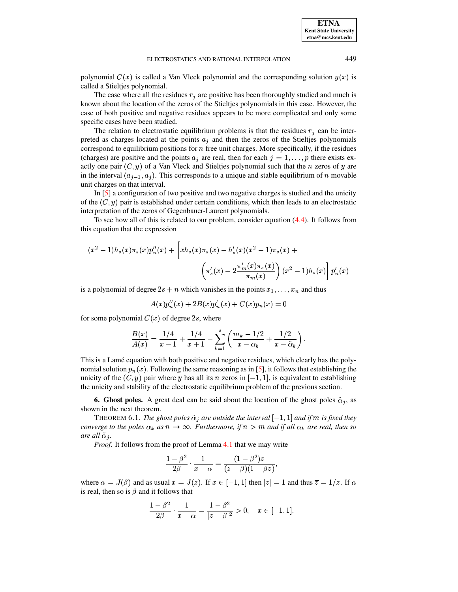polynomial  $C(x)$  is called a Van Vleck polynomial and the corresponding solution  $y(x)$  is called a Stieltjes polynomial.

The case where all the residues  $r_j$  are positive has been thoroughly studied and much is case of both positive and negative residues appears to be more complicated and only some known about the location of the zeros of the Stieltjes polynomials in this case. However, the specific cases have been studied.

The relation to electrostatic equilibrium problems is that the residues  $r_j$  can be intercorrespond to equilibrium positions for  $n$  free unit charges. More specifically, if the residues preted as charges located at the points  $a_j$  and then the zeros of the Stieltjes polynomials (charges) are positive and the points  $a_j$  are real, then for each  $j = 1, \ldots, p$  there exists exactly one pair  $(C, y)$  of a Van Vleck and Stieltjes polynomial such that the *n* zeros of *y* are in the interval  $(a_{j-1}, a_j)$ . This corresponds to a unique and stable equilibrium of *n* movable unit charges on that interval.

In [\[5\]](#page-12-5) a configuration of two positive and two negative charges is studied and the unicity of the  $(C, y)$  pair is established under certain conditions, which then leads to an electrostatic interpretation of the zeros of Gegenbauer-Laurent polynomials.

To see how all of this is related to our problem, consider equation [\(4.4\)](#page-6-1). It follows from this equation that the expression

$$
(x^{2}-1)h_{s}(x)\pi_{s}(x)p_{n}''(x) + \left[xh_{s}(x)\pi_{s}(x) - h_{s}'(x)(x^{2}-1)\pi_{s}(x) + \left(\pi_{s}'(x) - 2\frac{\pi_{m}'(x)\pi_{s}(x)}{\pi_{m}(x)}\right)(x^{2}-1)h_{s}(x)\right]p_{n}'(x)
$$

is a polynomial of degree  $2s + n$  which vanishes in the points  $x_1, \ldots, x_n$  and thus

$$
A(x) p_n''(x) + 2B(x) p_n'(x) + C(x) p_n(x) = 0
$$

for some polynomial  $C(x)$  of degree 2s, where

$$
\frac{B(x)}{A(x)} = \frac{1/4}{x-1} + \frac{1/4}{x+1} - \sum_{k=1}^s \left( \frac{m_k - 1/2}{x - \alpha_k} + \frac{1/2}{x - \tilde \alpha_k} \right).
$$

This is a Lame equation with both positive and negative residues, which clearly has the polynomial solution  $p_n(x)$ . Following the same reasoning as in [\[5\]](#page-12-5), it follows that establishing the unicity of the  $(C, y)$  pair where y has all its n zeros in  $[-1, 1]$ , is equivalent to establishing the unicity and stability of the electrostatic equilibrium problem of the previous section.

<span id="page-10-0"></span>**6.** Ghost poles. A great deal can be said about the location of the ghost poles  $\tilde{\alpha}_j$ , as shown in the next theorem.

THEOREM 6.1. The ghost poles  $\tilde{\alpha}_j$  are outside the interval  $[-1,1]$  and if  $m$  is fixed they *converge to the poles*  $\alpha_k$  *as*  $n \to \infty$ *. Furthermore, if*  $n > m$  *and if all*  $\alpha_k$  *are real, then so*  $\alpha$  *re* all  $\tilde{\alpha}$  *j*.

*Proof*. It follows from the proof of Lemma [4.1](#page-4-1) that we may write

$$
-\frac{1-\beta^2}{2\beta}\cdot\frac{1}{x-\alpha}=\frac{(1-\beta^2)z}{(z-\beta)(1-\beta z)},
$$

where  $\alpha = J(\beta)$  and as usual  $x = J(z)$ . If  $x \in [-1, 1]$  then  $|z| = 1$  and thus  $\overline{z} = 1/z$ . If  $\alpha$ is real, then so is  $\beta$  and it follows that

$$
-\frac{1-\beta^2}{2\beta}\cdot\frac{1}{x-\alpha}=\frac{1-\beta^2}{|z-\beta|^2}>0,\quad x\in[-1,1].
$$

**ETNA Kent State University etna@mcs.kent.edu**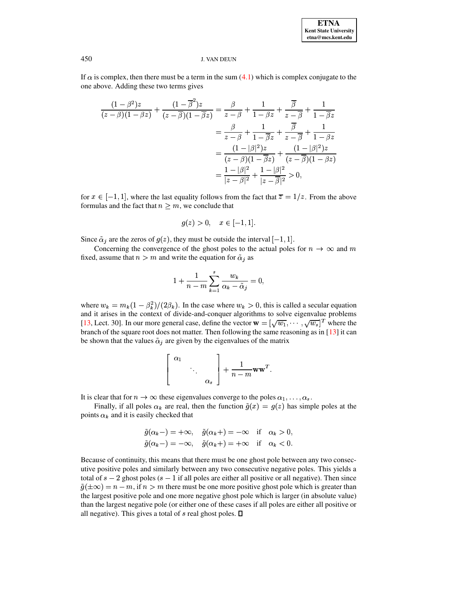If  $\alpha$  is complex, then there must be a term in the sum [\(4.1\)](#page-4-2) which is complex conjugate to the one above. Adding these two terms gives

$$
\frac{(1-\beta^2)z}{(z-\beta)(1-\beta z)} + \frac{(1-\overline{\beta}^2)z}{(z-\overline{\beta})(1-\overline{\beta}z)} = \frac{\beta}{z-\beta} + \frac{1}{1-\beta z} + \frac{\overline{\beta}}{z-\overline{\beta}} + \frac{1}{1-\overline{\beta}z} \n= \frac{\beta}{z-\beta} + \frac{1}{1-\overline{\beta}z} + \frac{\overline{\beta}}{z-\overline{\beta}} + \frac{1}{1-\beta z} \n= \frac{(1-|\beta|^2)z}{(z-\beta)(1-\overline{\beta}z)} + \frac{(1-|\beta|^2)z}{(z-\overline{\beta})(1-\beta z)} \n= \frac{1-|\beta|^2}{|z-\beta|^2} + \frac{1-|\beta|^2}{|z-\overline{\beta}|^2} > 0,
$$

for  $x \in [-1,1]$ , where the last equality follows from the fact that  $\overline{z} = 1/z$ . From the above formulas and the fact that  $n \geq m$ , we conclude that

$$
g(z) > 0
$$
,  $x \in [-1, 1]$ .

Since  $\tilde{\alpha}_j$  are the zeros of  $g(z)$ , they must be outside the interval  $[-1, 1]$ .

Concerning the convergence of the ghost poles to the actual poles for  $n \to \infty$  and  $m$ fixed, assume that  $n > m$  and write the equation for  $\tilde{\alpha}_j$  as

$$
1+\frac{1}{n-m}\sum_{k=1}^s\frac{w_k}{\alpha_k-\tilde{\alpha}_j}=0,
$$

where  $w_k = m_k(1 - \beta_k^2)/(2\beta_k)$ . In the case where  $w_k > 0$ , this is called a secular equation and it arises in the context of divide-and-conquer algorithms to solve eigenvalue problems [\[13,](#page-12-15) Lect. 30]. In our more general case, define the vector  $\mathbf{w} = [\sqrt{w_1}, \cdots, \sqrt{w_s}]^T$  where the branch of the square root does not matter. Then following the same reasoning as in [\[13\]](#page-12-15) it can be shown that the values  $\tilde{\alpha}_i$  are given by the eigenvalues of the matrix

$$
\left[\begin{array}{ccc} \alpha_1 & & \\ & \ddots & \\ & & \alpha_s \end{array}\right] + \frac{1}{n-m} \mathbf{w} \mathbf{w}^T.
$$

It is clear that for  $n \to \infty$  these eigenvalues converge to the poles  $\alpha_1, \ldots, \alpha_s$ .

Finally, if all poles  $\alpha_k$  are real, then the function  $\tilde{g}(x) = g(z)$  has simple poles at the points  $\alpha_k$  and it is easily checked that

$$
\tilde{g}(\alpha_k - ) = +\infty, \quad \tilde{g}(\alpha_k + ) = -\infty \quad \text{if} \quad \alpha_k > 0,
$$
  

$$
\tilde{g}(\alpha_k - ) = -\infty, \quad \tilde{g}(\alpha_k + ) = +\infty \quad \text{if} \quad \alpha_k < 0.
$$

Because of continuity, this means that there must be one ghost pole between any two consecutive positive poles and similarly between any two consecutive negative poles. This yields a total of  $s - 2$  ghost poles  $(s - 1)$  if all poles are either all positive or all negative). Then since  $\tilde{g}(\pm\infty) = n - m$ , if  $n > m$  there must be one more positive ghost pole which is greater than the largest positive pole and one more negative ghost pole which is larger (in absolute value) than the largest negative pole (or either one of these cases if all poles are either all positive or all negative). This gives a total of  $s$  real ghost poles.  $\square$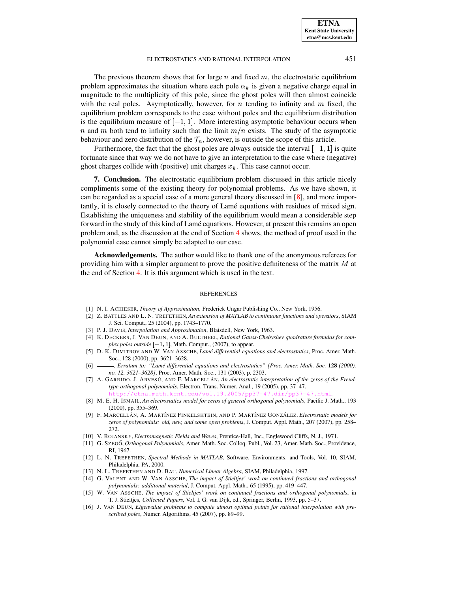**ETNA Kent State University etna@mcs.kent.edu**

#### ELECTROSTATICS AND RATIONAL INTERPOLATION 451

The previous theorem shows that for large  $n$  and fixed  $m$ , the electrostatic equilibrium problem approximates the situation where each pole  $\alpha_k$  is given a negative charge equal in magnitude to the multiplicity of this pole, since the ghost poles will then almost coincide with the real poles. Asymptotically, however, for  $n$  tending to infinity and  $m$  fixed, the equilibrium problem corresponds to the case without poles and the equilibrium distribution is the equilibrium measure of  $[-1, 1]$ . More interesting asymptotic behaviour occurs when n and m both tend to infinity such that the limit  $m/n$  exists. The study of the asymptotic behaviour and zero distribution of the  $\mathcal{T}_n$ , however, is outside the scope of this article.

Furthermore, the fact that the ghost poles are always outside the interval  $[-1, 1]$  is quite fortunate since that way we do not have to give an interpretation to the case where (negative) ghost charges collide with (positive) unit charges  $x_k$ . This case cannot occur.

**7. Conclusion.** The electrostatic equilibrium problem discussed in this article nicely compliments some of the existing theory for polynomial problems. As we have shown, it can be regarded as a special case of a more general theory discussed in [\[8\]](#page-12-4), and more importantly, it is closely connected to the theory of Lame´ equations with residues of mixed sign. Establishing the uniqueness and stability of the equilibrium would mean a considerable step forward in the study of this kind of Lamé equations. However, at present this remains an open problem and, as the discussion at the end of Section [4](#page-4-0) shows, the method of proof used in the polynomial case cannot simply be adapted to our case.

**Acknowledgements.** The author would like to thank one of the anonymous referees for providing him with a simpler argument to prove the positive definiteness of the matrix  $M$  at the end of Section [4.](#page-4-0) It is this argument which is used in the text.

#### REFERENCES

- <span id="page-12-10"></span><span id="page-12-9"></span>[1] N. I. ACHIESER, *Theory of Approximation*, Frederick Ungar Publishing Co., New York, 1956.
- [2] Z. BATTLES AND L. N. TREFETHEN,*An extension of MATLAB to continuous functions and operators*, SIAM J. Sci. Comput., 25 (2004), pp. 1743–1770.
- <span id="page-12-13"></span><span id="page-12-7"></span>[3] P. J. DAVIS, *Interpolation and Approximation*, Blaisdell, New York, 1963.
- [4] K. DECKERS, J. VAN DEUN, AND A. BULTHEEL, *Rational Gauss-Chebyshev quadrature formulas for com* $plex poles outside [-1, 1]$ , Math. Comput., (2007), to appear.
- <span id="page-12-5"></span>[5] D. K. DIMITROV AND W. VAN ASSCHE, *Lame´ differential equations and electrostatics*, Proc. Amer. Math. Soc., 128 (2000), pp. 3621–3628.
- <span id="page-12-14"></span><span id="page-12-6"></span>[6] , *Erratum to: "Lame´ differential equations and electrostatics" [Proc. Amer. Math. Soc.* **128** *(2000), no. 12, 3621–3628]*, Proc. Amer. Math. Soc., 131 (2003), p. 2303.
- [7] A. GARRIDO, J. ARVESU´ , AND F. MARCELLA´ N, *An electrostatic interpretation of the zeros of the Freudtype orthogonal polynomials*, Electron. Trans. Numer. Anal., 19 (2005), pp. 37–47.
	- $h_{\text{e}}$ du/vol.19.2005/p
- <span id="page-12-4"></span>[8] M. E. H. ISMAIL, *An electrostatics model for zeros of general orthogonal polynomials*, Pacific J. Math., 193 (2000), pp. 355–369.
- <span id="page-12-0"></span>[9] F. MARCELLA´ N, A. MART´INEZ FINKELSHTEIN, AND P. MART´INEZ GONZA´ LEZ, *Electrostatic models for zeros of polynomials: old, new, and some open problems*, J. Comput. Appl. Math., 207 (2007), pp. 258– 272.
- <span id="page-12-12"></span><span id="page-12-11"></span>[10] V. ROJANSKY, *Electromagnetic Fields and Waves*, Prentice-Hall, Inc., Englewood Cliffs, N. J., 1971.
- [11] G. SZEGO˝, *Orthogonal Polynomials*, Amer. Math. Soc. Colloq. Publ., Vol. 23, Amer. Math. Soc., Providence, RI, 1967.
- <span id="page-12-8"></span>[12] L. N. TREFETHEN, *Spectral Methods in MATLAB*, Software, Environments, and Tools, Vol. 10, SIAM, Philadelphia, PA, 2000.
- <span id="page-12-15"></span><span id="page-12-2"></span>[13] N. L. TREFETHEN AND D. BAU, *Numerical Linear Algebra*, SIAM, Philadelphia, 1997.
- [14] G. VALENT AND W. VAN ASSCHE, *The impact of Stieltjes' work on continued fractions and orthogonal polynomials: additional material*, J. Comput. Appl. Math., 65 (1995), pp. 419–447.
- <span id="page-12-3"></span>[15] W. VAN ASSCHE, *The impact of Stieltjes' work on continued fractions and orthogonal polynomials*, in T. J. Stieltjes, *Collected Papers*, Vol. I, G. van Dijk, ed., Springer, Berlin, 1993, pp. 5–37.
- <span id="page-12-1"></span>[16] J. VAN DEUN, *Eigenvalue problems to compute almost optimal points for rational interpolation with prescribed poles*, Numer. Algorithms, 45 (2007), pp. 89–99.